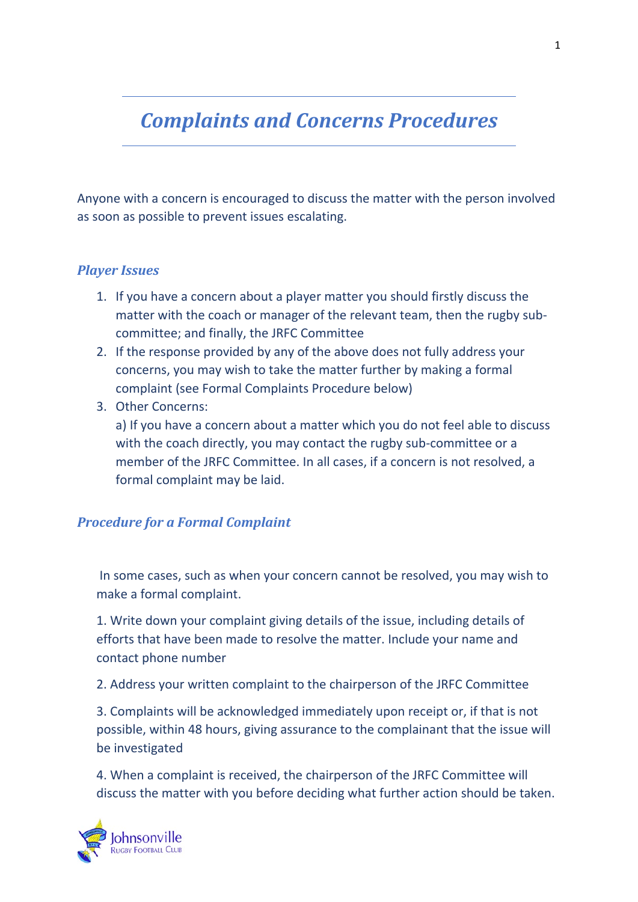## *Complaints and Concerns Procedures*

Anyone with a concern is encouraged to discuss the matter with the person involved as soon as possible to prevent issues escalating.

## *Player Issues*

- 1. If you have a concern about a player matter you should firstly discuss the matter with the coach or manager of the relevant team, then the rugby subcommittee; and finally, the JRFC Committee
- 2. If the response provided by any of the above does not fully address your concerns, you may wish to take the matter further by making a formal complaint (see Formal Complaints Procedure below)
- 3. Other Concerns:

a) If you have a concern about a matter which you do not feel able to discuss with the coach directly, you may contact the rugby sub-committee or a member of the JRFC Committee. In all cases, if a concern is not resolved, a formal complaint may be laid.

## *Procedure for a Formal Complaint*

In some cases, such as when your concern cannot be resolved, you may wish to make a formal complaint.

1. Write down your complaint giving details of the issue, including details of efforts that have been made to resolve the matter. Include your name and contact phone number

2. Address your written complaint to the chairperson of the JRFC Committee

3. Complaints will be acknowledged immediately upon receipt or, if that is not possible, within 48 hours, giving assurance to the complainant that the issue will be investigated

4. When a complaint is received, the chairperson of the JRFC Committee will discuss the matter with you before deciding what further action should be taken.